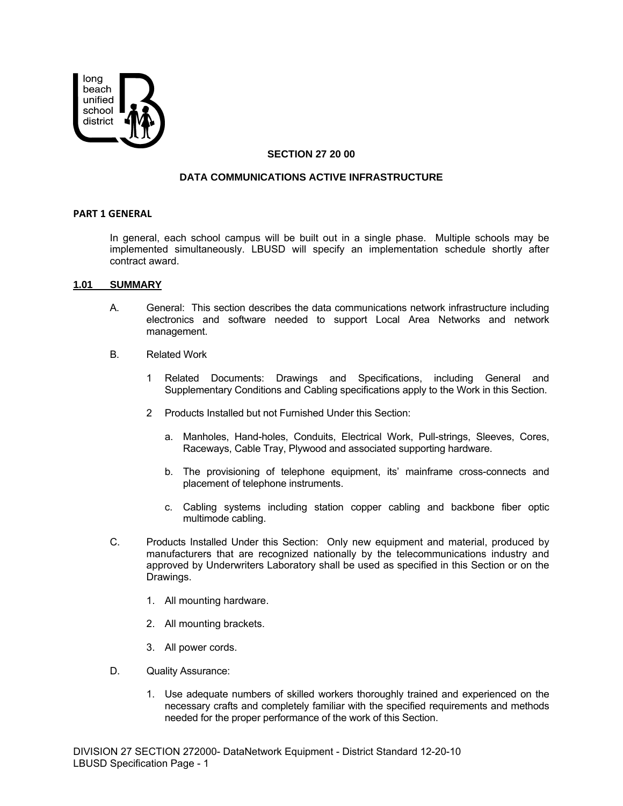

# **SECTION 27 20 00**

# **DATA COMMUNICATIONS ACTIVE INFRASTRUCTURE**

#### **PART 1 GENERAL**

In general, each school campus will be built out in a single phase. Multiple schools may be implemented simultaneously. LBUSD will specify an implementation schedule shortly after contract award.

#### **1.01 SUMMARY**

- A. General: This section describes the data communications network infrastructure including electronics and software needed to support Local Area Networks and network management.
- B. Related Work
	- 1 Related Documents: Drawings and Specifications, including General and Supplementary Conditions and Cabling specifications apply to the Work in this Section.
	- 2 Products Installed but not Furnished Under this Section:
		- a. Manholes, Hand-holes, Conduits, Electrical Work, Pull-strings, Sleeves, Cores, Raceways, Cable Tray, Plywood and associated supporting hardware.
		- b. The provisioning of telephone equipment, its' mainframe cross-connects and placement of telephone instruments.
		- c. Cabling systems including station copper cabling and backbone fiber optic multimode cabling.
- C. Products Installed Under this Section: Only new equipment and material, produced by manufacturers that are recognized nationally by the telecommunications industry and approved by Underwriters Laboratory shall be used as specified in this Section or on the Drawings.
	- 1. All mounting hardware.
	- 2. All mounting brackets.
	- 3. All power cords.
- D. Quality Assurance:
	- 1. Use adequate numbers of skilled workers thoroughly trained and experienced on the necessary crafts and completely familiar with the specified requirements and methods needed for the proper performance of the work of this Section.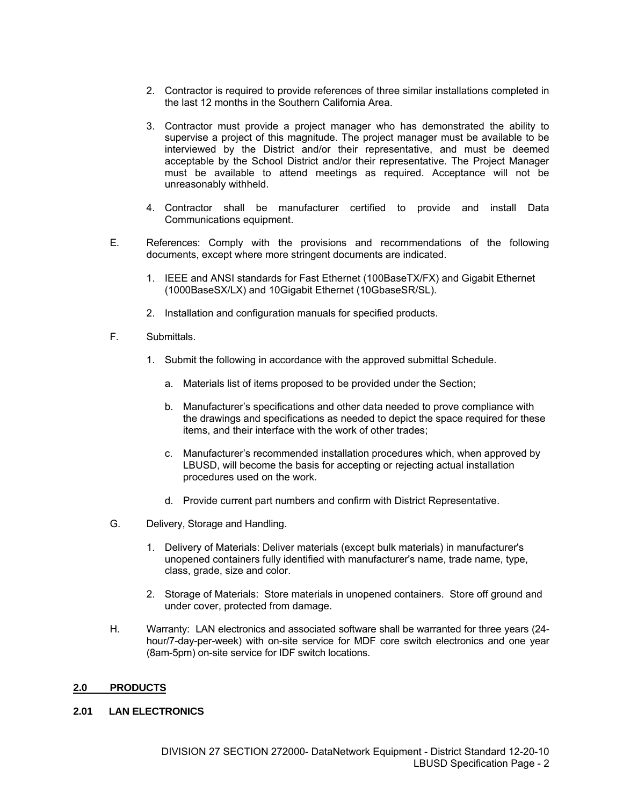- 2. Contractor is required to provide references of three similar installations completed in the last 12 months in the Southern California Area.
- 3. Contractor must provide a project manager who has demonstrated the ability to supervise a project of this magnitude. The project manager must be available to be interviewed by the District and/or their representative, and must be deemed acceptable by the School District and/or their representative. The Project Manager must be available to attend meetings as required. Acceptance will not be unreasonably withheld.
- 4. Contractor shall be manufacturer certified to provide and install Data Communications equipment.
- E. References: Comply with the provisions and recommendations of the following documents, except where more stringent documents are indicated.
	- 1. IEEE and ANSI standards for Fast Ethernet (100BaseTX/FX) and Gigabit Ethernet (1000BaseSX/LX) and 10Gigabit Ethernet (10GbaseSR/SL).
	- 2. Installation and configuration manuals for specified products.
- F. Submittals.
	- 1. Submit the following in accordance with the approved submittal Schedule.
		- a. Materials list of items proposed to be provided under the Section;
		- b. Manufacturer's specifications and other data needed to prove compliance with the drawings and specifications as needed to depict the space required for these items, and their interface with the work of other trades;
		- c. Manufacturer's recommended installation procedures which, when approved by LBUSD, will become the basis for accepting or rejecting actual installation procedures used on the work.
		- d. Provide current part numbers and confirm with District Representative.
- G. Delivery, Storage and Handling.
	- 1. Delivery of Materials: Deliver materials (except bulk materials) in manufacturer's unopened containers fully identified with manufacturer's name, trade name, type, class, grade, size and color.
	- 2. Storage of Materials: Store materials in unopened containers. Store off ground and under cover, protected from damage.
- H. Warranty: LAN electronics and associated software shall be warranted for three years (24 hour/7-day-per-week) with on-site service for MDF core switch electronics and one year (8am-5pm) on-site service for IDF switch locations.

### **2.0 PRODUCTS**

# **2.01 LAN ELECTRONICS**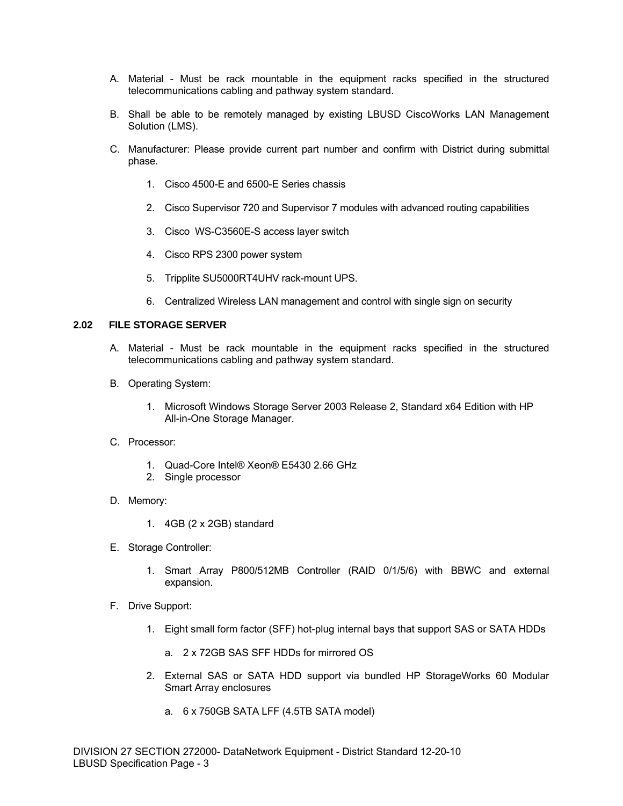- A. Material Must be rack mountable in the equipment racks specified in the structured telecommunications cabling and pathway system standard.
- B. Shall be able to be remotely managed by existing LBUSD CiscoWorks LAN Management Solution (LMS).
- C. Manufacturer: Please provide current part number and confirm with District during submittal phase.
	- 1. Cisco 4500-E and 6500-E Series chassis
	- 2. Cisco Supervisor 720 and Supervisor 7 modules with advanced routing capabilities
	- 3. Cisco WS-C3560E-S access layer switch
	- 4. Cisco RPS 2300 power system
	- 5. Tripplite SU5000RT4UHV rack-mount UPS.
	- 6. Centralized Wireless LAN management and control with single sign on security

# **2.02 FILE STORAGE SERVER**

- A. Material Must be rack mountable in the equipment racks specified in the structured telecommunications cabling and pathway system standard.
- B. Operating System:
	- 1. Microsoft Windows Storage Server 2003 Release 2, Standard x64 Edition with HP All-in-One Storage Manager.
- C. Processor:
	- 1. Quad-Core Intel® Xeon® E5430 2.66 GHz
	- 2. Single processor
- D. Memory:
	- 1. 4GB (2 x 2GB) standard
- E. Storage Controller:
	- 1. Smart Array P800/512MB Controller (RAID 0/1/5/6) with BBWC and external expansion.
- F. Drive Support:
	- 1. Eight small form factor (SFF) hot-plug internal bays that support SAS or SATA HDDs
		- a. 2 x 72GB SAS SFF HDDs for mirrored OS
	- 2. External SAS or SATA HDD support via bundled HP StorageWorks 60 Modular Smart Array enclosures
		- a. 6 x 750GB SATA LFF (4.5TB SATA model)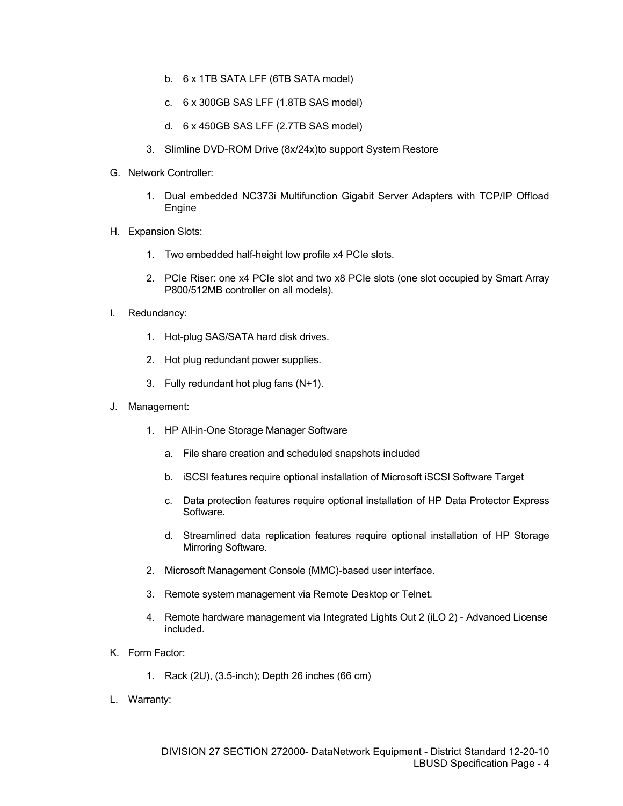- b. 6 x 1TB SATA LFF (6TB SATA model)
- c. 6 x 300GB SAS LFF (1.8TB SAS model)
- d. 6 x 450GB SAS LFF (2.7TB SAS model)
- 3. Slimline DVD-ROM Drive (8x/24x)to support System Restore
- G. Network Controller:
	- 1. Dual embedded NC373i Multifunction Gigabit Server Adapters with TCP/IP Offload Engine
- H. Expansion Slots:
	- 1. Two embedded half-height low profile x4 PCIe slots.
	- 2. PCIe Riser: one x4 PCIe slot and two x8 PCIe slots (one slot occupied by Smart Array P800/512MB controller on all models).
- I. Redundancy:
	- 1. Hot-plug SAS/SATA hard disk drives.
	- 2. Hot plug redundant power supplies.
	- 3. Fully redundant hot plug fans (N+1).
- J. Management:
	- 1. HP All-in-One Storage Manager Software
		- a. File share creation and scheduled snapshots included
		- b. iSCSI features require optional installation of Microsoft iSCSI Software Target
		- c. Data protection features require optional installation of HP Data Protector Express Software.
		- d. Streamlined data replication features require optional installation of HP Storage Mirroring Software.
	- 2. Microsoft Management Console (MMC)-based user interface.
	- 3. Remote system management via Remote Desktop or Telnet.
	- 4. Remote hardware management via Integrated Lights Out 2 (iLO 2) Advanced License included.
- K. Form Factor:
	- 1. Rack (2U), (3.5-inch); Depth 26 inches (66 cm)
- L. Warranty: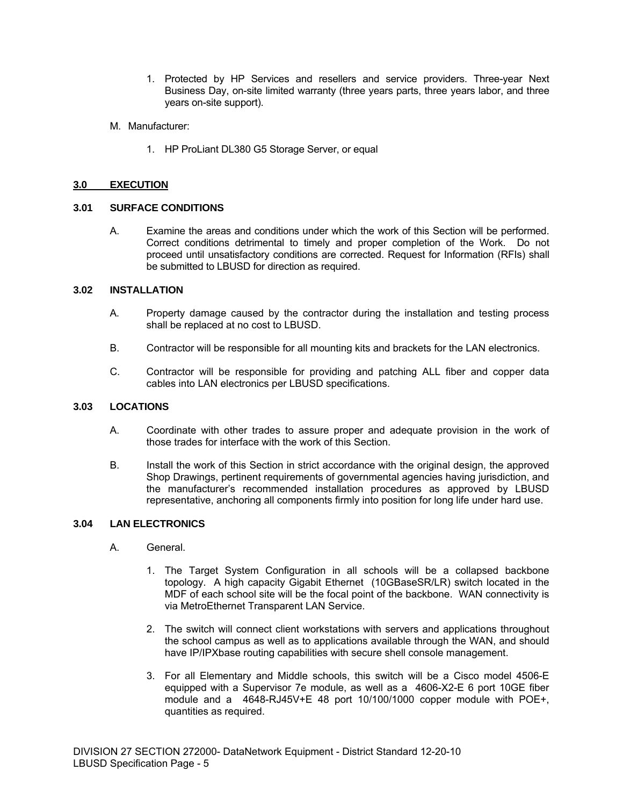- 1. Protected by HP Services and resellers and service providers. Three-year Next Business Day, on-site limited warranty (three years parts, three years labor, and three years on-site support).
- M. Manufacturer:
	- 1. HP ProLiant DL380 G5 Storage Server, or equal

# **3.0 EXECUTION**

# **3.01 SURFACE CONDITIONS**

A. Examine the areas and conditions under which the work of this Section will be performed. Correct conditions detrimental to timely and proper completion of the Work. Do not proceed until unsatisfactory conditions are corrected. Request for Information (RFIs) shall be submitted to LBUSD for direction as required.

# **3.02 INSTALLATION**

- A. Property damage caused by the contractor during the installation and testing process shall be replaced at no cost to LBUSD.
- B. Contractor will be responsible for all mounting kits and brackets for the LAN electronics.
- C. Contractor will be responsible for providing and patching ALL fiber and copper data cables into LAN electronics per LBUSD specifications.

### **3.03 LOCATIONS**

- A. Coordinate with other trades to assure proper and adequate provision in the work of those trades for interface with the work of this Section.
- B. Install the work of this Section in strict accordance with the original design, the approved Shop Drawings, pertinent requirements of governmental agencies having jurisdiction, and the manufacturer's recommended installation procedures as approved by LBUSD representative, anchoring all components firmly into position for long life under hard use.

# **3.04 LAN ELECTRONICS**

- A. General.
	- 1. The Target System Configuration in all schools will be a collapsed backbone topology. A high capacity Gigabit Ethernet (10GBaseSR/LR) switch located in the MDF of each school site will be the focal point of the backbone. WAN connectivity is via MetroEthernet Transparent LAN Service.
	- 2. The switch will connect client workstations with servers and applications throughout the school campus as well as to applications available through the WAN, and should have IP/IPXbase routing capabilities with secure shell console management.
	- 3. For all Elementary and Middle schools, this switch will be a Cisco model 4506-E equipped with a Supervisor 7e module, as well as a 4606-X2-E 6 port 10GE fiber module and a 4648-RJ45V+E 48 port 10/100/1000 copper module with POE+, quantities as required.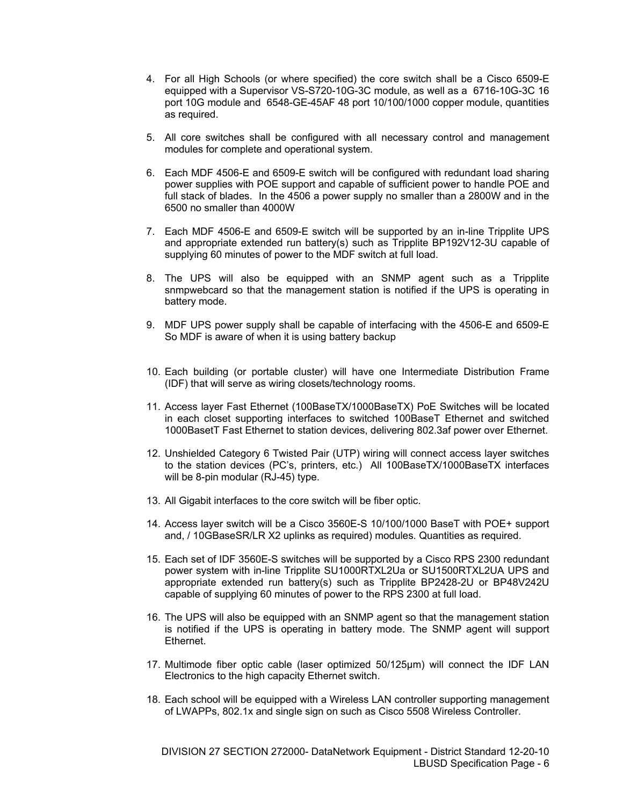- 4. For all High Schools (or where specified) the core switch shall be a Cisco 6509-E equipped with a Supervisor VS-S720-10G-3C module, as well as a 6716-10G-3C 16 port 10G module and 6548-GE-45AF 48 port 10/100/1000 copper module, quantities as required.
- 5. All core switches shall be configured with all necessary control and management modules for complete and operational system.
- 6. Each MDF 4506-E and 6509-E switch will be configured with redundant load sharing power supplies with POE support and capable of sufficient power to handle POE and full stack of blades. In the 4506 a power supply no smaller than a 2800W and in the 6500 no smaller than 4000W
- 7. Each MDF 4506-E and 6509-E switch will be supported by an in-line Tripplite UPS and appropriate extended run battery(s) such as Tripplite BP192V12-3U capable of supplying 60 minutes of power to the MDF switch at full load.
- 8. The UPS will also be equipped with an SNMP agent such as a Tripplite snmpwebcard so that the management station is notified if the UPS is operating in battery mode.
- 9. MDF UPS power supply shall be capable of interfacing with the 4506-E and 6509-E So MDF is aware of when it is using battery backup
- 10. Each building (or portable cluster) will have one Intermediate Distribution Frame (IDF) that will serve as wiring closets/technology rooms.
- 11. Access layer Fast Ethernet (100BaseTX/1000BaseTX) PoE Switches will be located in each closet supporting interfaces to switched 100BaseT Ethernet and switched 1000BasetT Fast Ethernet to station devices, delivering 802.3af power over Ethernet.
- 12. Unshielded Category 6 Twisted Pair (UTP) wiring will connect access layer switches to the station devices (PC's, printers, etc.) All 100BaseTX/1000BaseTX interfaces will be 8-pin modular (RJ-45) type.
- 13. All Gigabit interfaces to the core switch will be fiber optic.
- 14. Access layer switch will be a Cisco 3560E-S 10/100/1000 BaseT with POE+ support and, / 10GBaseSR/LR X2 uplinks as required) modules. Quantities as required.
- 15. Each set of IDF 3560E-S switches will be supported by a Cisco RPS 2300 redundant power system with in-line Tripplite SU1000RTXL2Ua or SU1500RTXL2UA UPS and appropriate extended run battery(s) such as Tripplite BP2428-2U or BP48V242U capable of supplying 60 minutes of power to the RPS 2300 at full load.
- 16. The UPS will also be equipped with an SNMP agent so that the management station is notified if the UPS is operating in battery mode. The SNMP agent will support **Ethernet**
- 17. Multimode fiber optic cable (laser optimized 50/125μm) will connect the IDF LAN Electronics to the high capacity Ethernet switch.
- 18. Each school will be equipped with a Wireless LAN controller supporting management of LWAPPs, 802.1x and single sign on such as Cisco 5508 Wireless Controller.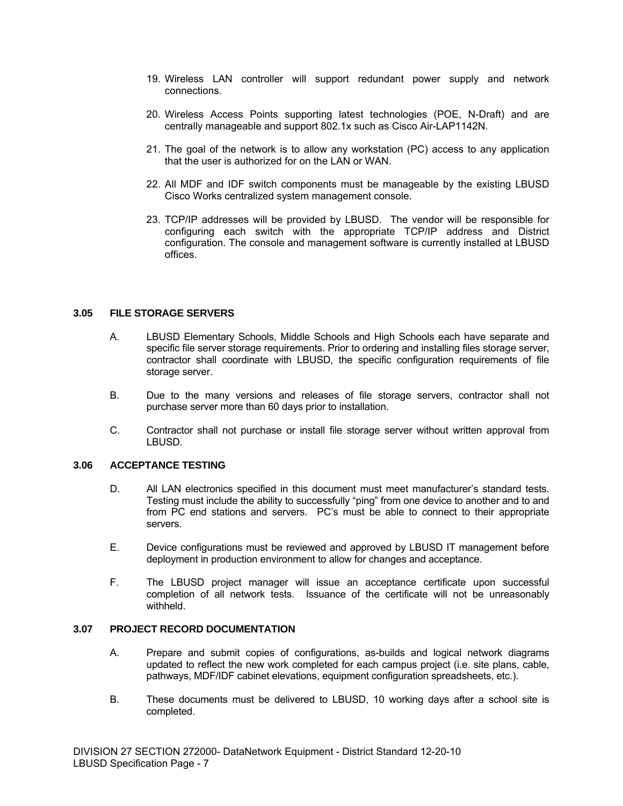- 19. Wireless LAN controller will support redundant power supply and network connections.
- 20. Wireless Access Points supporting latest technologies (POE, N-Draft) and are centrally manageable and support 802.1x such as Cisco Air-LAP1142N.
- 21. The goal of the network is to allow any workstation (PC) access to any application that the user is authorized for on the LAN or WAN.
- 22. All MDF and IDF switch components must be manageable by the existing LBUSD Cisco Works centralized system management console.
- 23. TCP/IP addresses will be provided by LBUSD. The vendor will be responsible for configuring each switch with the appropriate TCP/IP address and District configuration. The console and management software is currently installed at LBUSD offices.

# **3.05 FILE STORAGE SERVERS**

- A. LBUSD Elementary Schools, Middle Schools and High Schools each have separate and specific file server storage requirements. Prior to ordering and installing files storage server, contractor shall coordinate with LBUSD, the specific configuration requirements of file storage server.
- B. Due to the many versions and releases of file storage servers, contractor shall not purchase server more than 60 days prior to installation.
- C. Contractor shall not purchase or install file storage server without written approval from LBUSD.

# **3.06 ACCEPTANCE TESTING**

- D. All LAN electronics specified in this document must meet manufacturer's standard tests. Testing must include the ability to successfully "ping" from one device to another and to and from PC end stations and servers. PC's must be able to connect to their appropriate servers.
- E. Device configurations must be reviewed and approved by LBUSD IT management before deployment in production environment to allow for changes and acceptance.
- F. The LBUSD project manager will issue an acceptance certificate upon successful completion of all network tests. Issuance of the certificate will not be unreasonably withheld.

### **3.07 PROJECT RECORD DOCUMENTATION**

- A. Prepare and submit copies of configurations, as-builds and logical network diagrams updated to reflect the new work completed for each campus project (i.e. site plans, cable, pathways, MDF/IDF cabinet elevations, equipment configuration spreadsheets, etc.).
- B. These documents must be delivered to LBUSD, 10 working days after a school site is completed.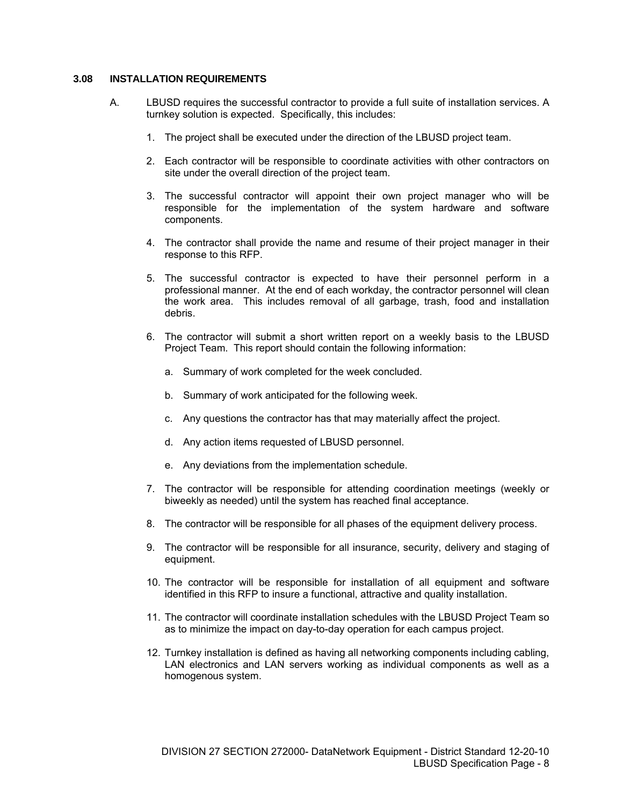# **3.08 INSTALLATION REQUIREMENTS**

- A. LBUSD requires the successful contractor to provide a full suite of installation services. A turnkey solution is expected. Specifically, this includes:
	- 1. The project shall be executed under the direction of the LBUSD project team.
	- 2. Each contractor will be responsible to coordinate activities with other contractors on site under the overall direction of the project team.
	- 3. The successful contractor will appoint their own project manager who will be responsible for the implementation of the system hardware and software components.
	- 4. The contractor shall provide the name and resume of their project manager in their response to this RFP.
	- 5. The successful contractor is expected to have their personnel perform in a professional manner. At the end of each workday, the contractor personnel will clean the work area. This includes removal of all garbage, trash, food and installation debris.
	- 6. The contractor will submit a short written report on a weekly basis to the LBUSD Project Team. This report should contain the following information:
		- a. Summary of work completed for the week concluded.
		- b. Summary of work anticipated for the following week.
		- c. Any questions the contractor has that may materially affect the project.
		- d. Any action items requested of LBUSD personnel.
		- e. Any deviations from the implementation schedule.
	- 7. The contractor will be responsible for attending coordination meetings (weekly or biweekly as needed) until the system has reached final acceptance.
	- 8. The contractor will be responsible for all phases of the equipment delivery process.
	- 9. The contractor will be responsible for all insurance, security, delivery and staging of equipment.
	- 10. The contractor will be responsible for installation of all equipment and software identified in this RFP to insure a functional, attractive and quality installation.
	- 11. The contractor will coordinate installation schedules with the LBUSD Project Team so as to minimize the impact on day-to-day operation for each campus project.
	- 12. Turnkey installation is defined as having all networking components including cabling, LAN electronics and LAN servers working as individual components as well as a homogenous system.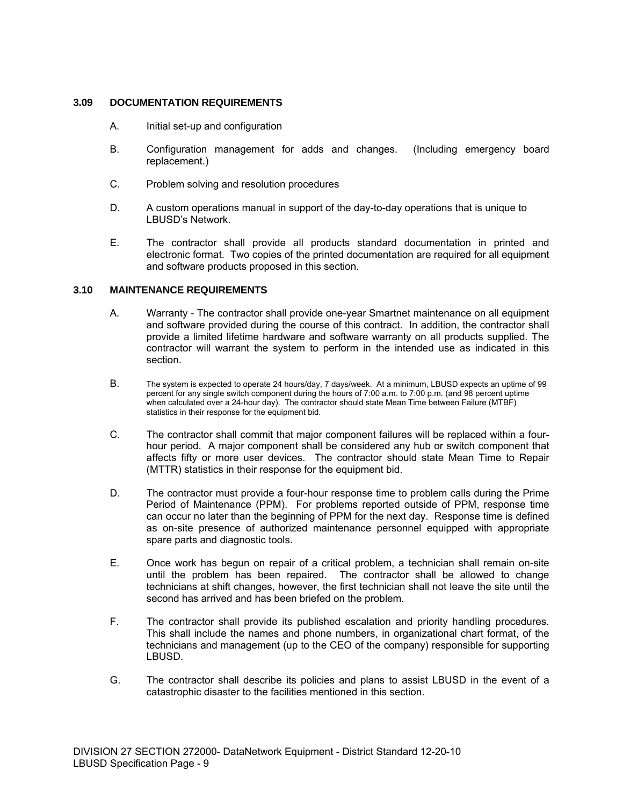# **3.09 DOCUMENTATION REQUIREMENTS**

- A. Initial set-up and configuration
- B. Configuration management for adds and changes. (Including emergency board replacement.)
- C. Problem solving and resolution procedures
- D. A custom operations manual in support of the day-to-day operations that is unique to LBUSD's Network.
- E. The contractor shall provide all products standard documentation in printed and electronic format. Two copies of the printed documentation are required for all equipment and software products proposed in this section.

# **3.10 MAINTENANCE REQUIREMENTS**

- A. Warranty The contractor shall provide one-year Smartnet maintenance on all equipment and software provided during the course of this contract. In addition, the contractor shall provide a limited lifetime hardware and software warranty on all products supplied. The contractor will warrant the system to perform in the intended use as indicated in this section.
- B. The system is expected to operate 24 hours/day, 7 days/week. At a minimum, LBUSD expects an uptime of 99 percent for any single switch component during the hours of 7:00 a.m. to 7:00 p.m. (and 98 percent uptime when calculated over a 24-hour day). The contractor should state Mean Time between Failure (MTBF) statistics in their response for the equipment bid.
- C. The contractor shall commit that major component failures will be replaced within a fourhour period. A major component shall be considered any hub or switch component that affects fifty or more user devices. The contractor should state Mean Time to Repair (MTTR) statistics in their response for the equipment bid.
- D. The contractor must provide a four-hour response time to problem calls during the Prime Period of Maintenance (PPM). For problems reported outside of PPM, response time can occur no later than the beginning of PPM for the next day. Response time is defined as on-site presence of authorized maintenance personnel equipped with appropriate spare parts and diagnostic tools.
- E. Once work has begun on repair of a critical problem, a technician shall remain on-site until the problem has been repaired. The contractor shall be allowed to change technicians at shift changes, however, the first technician shall not leave the site until the second has arrived and has been briefed on the problem.
- F. The contractor shall provide its published escalation and priority handling procedures. This shall include the names and phone numbers, in organizational chart format, of the technicians and management (up to the CEO of the company) responsible for supporting LBUSD.
- G. The contractor shall describe its policies and plans to assist LBUSD in the event of a catastrophic disaster to the facilities mentioned in this section.